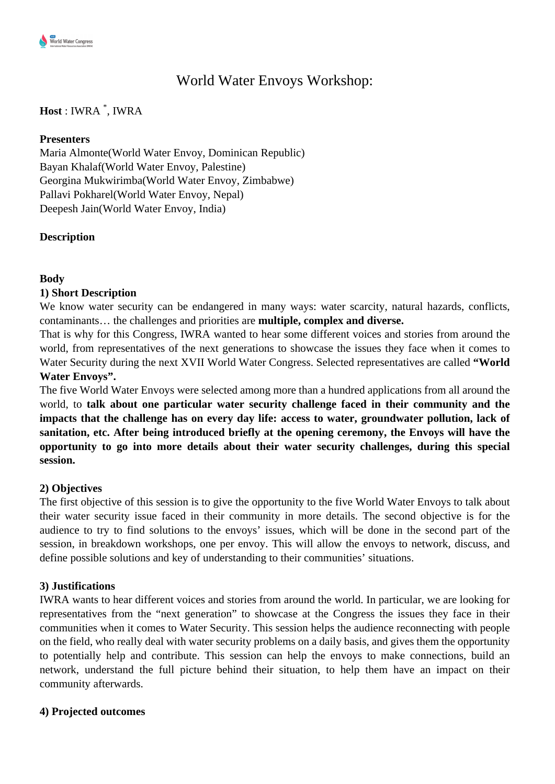# World Water Envoys Workshop:

## **Host** : IWRA \* , IWRA

#### **Presenters**

Maria Almonte(World Water Envoy, Dominican Republic) Bayan Khalaf(World Water Envoy, Palestine) Georgina Mukwirimba(World Water Envoy, Zimbabwe) Pallavi Pokharel(World Water Envoy, Nepal) Deepesh Jain(World Water Envoy, India)

### **Description**

### **Body**

### **1) Short Description**

We know water security can be endangered in many ways: water scarcity, natural hazards, conflicts, contaminants… the challenges and priorities are **multiple, complex and diverse.** 

That is why for this Congress, IWRA wanted to hear some different voices and stories from around the world, from representatives of the next generations to showcase the issues they face when it comes to Water Security during the next XVII World Water Congress. Selected representatives are called **"World Water Envoys".**

The five World Water Envoys were selected among more than a hundred applications from all around the world, to **talk about one particular water security challenge faced in their community and the impacts that the challenge has on every day life: access to water, groundwater pollution, lack of sanitation, etc. After being introduced briefly at the opening ceremony, the Envoys will have the opportunity to go into more details about their water security challenges, during this special session.**

### **2) Objectives**

The first objective of this session is to give the opportunity to the five World Water Envoys to talk about their water security issue faced in their community in more details. The second objective is for the audience to try to find solutions to the envoys' issues, which will be done in the second part of the session, in breakdown workshops, one per envoy. This will allow the envoys to network, discuss, and define possible solutions and key of understanding to their communities' situations.

### **3) Justifications**

IWRA wants to hear different voices and stories from around the world. In particular, we are looking for representatives from the "next generation" to showcase at the Congress the issues they face in their communities when it comes to Water Security. This session helps the audience reconnecting with people on the field, who really deal with water security problems on a daily basis, and gives them the opportunity to potentially help and contribute. This session can help the envoys to make connections, build an network, understand the full picture behind their situation, to help them have an impact on their community afterwards.

### **4) Projected outcomes**